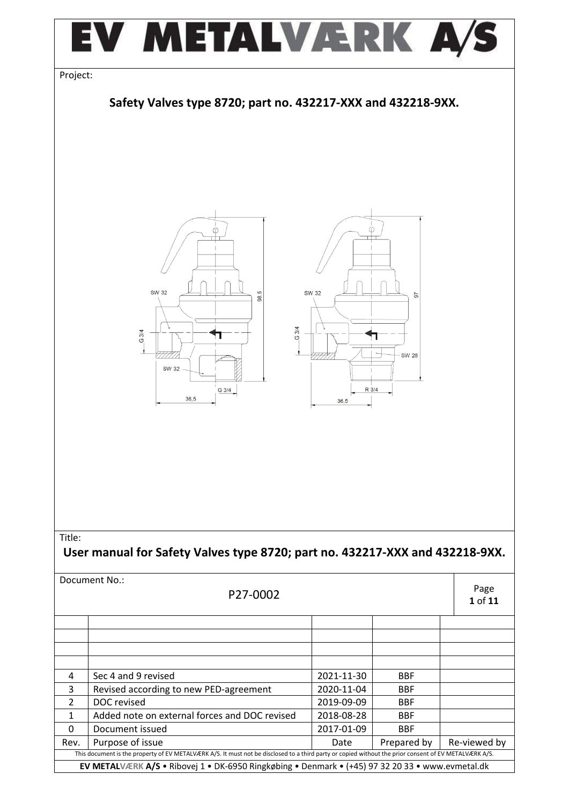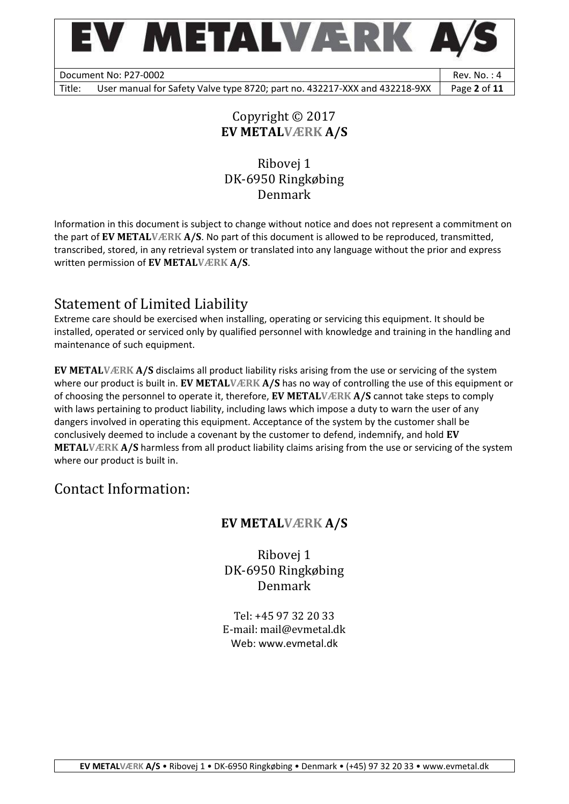V METALVÆRK A

Document No: P27-0002 **Rev. No. : 4** Rev. No. : 4

Title: User manual for Safety Valve type 8720; part no. 432217-XXX and 432218-9XX Page **2** of **11**

## Copyright © 2017 **EV METALVÆRK A/S**

## Ribovej 1 DK-6950 Ringkøbing Denmark

Information in this document is subject to change without notice and does not represent a commitment on the part of **EV METALVÆRK A/S**. No part of this document is allowed to be reproduced, transmitted, transcribed, stored, in any retrieval system or translated into any language without the prior and express written permission of **EV METALVÆRK A/S**.

# Statement of Limited Liability

Extreme care should be exercised when installing, operating or servicing this equipment. It should be installed, operated or serviced only by qualified personnel with knowledge and training in the handling and maintenance of such equipment.

**EV METALVÆRK A/S** disclaims all product liability risks arising from the use or servicing of the system where our product is built in. **EV METALVÆRK A/S** has no way of controlling the use of this equipment or of choosing the personnel to operate it, therefore, **EV METALVÆRK A/S** cannot take steps to comply with laws pertaining to product liability, including laws which impose a duty to warn the user of any dangers involved in operating this equipment. Acceptance of the system by the customer shall be conclusively deemed to include a covenant by the customer to defend, indemnify, and hold **EV METALVÆRK A/S** harmless from all product liability claims arising from the use or servicing of the system where our product is built in.

## Contact Information:

## **EV METALVÆRK A/S**

Ribovej 1 DK-6950 Ringkøbing Denmark

Tel: +45 97 32 20 33 E-mail: mail@evmetal.dk Web: www.evmetal.dk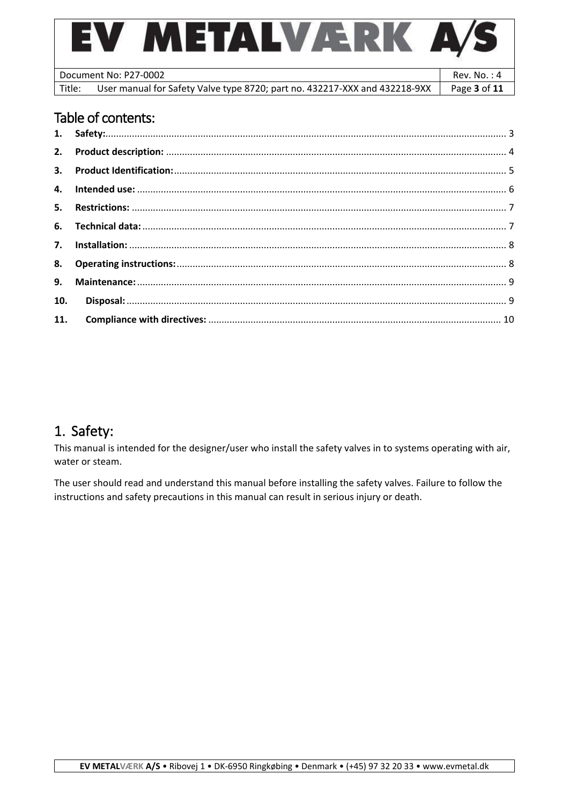|                       | Δ<br>$\overline{\phantom{a}}$ | <b>IETAI</b> | <b>LVA</b> |  |              |
|-----------------------|-------------------------------|--------------|------------|--|--------------|
| Document No: P27-0002 |                               |              |            |  | Rev. No. : 4 |

User manual for Safety Valve type 8720; part no. 432217-XXX and 432218-9XX Title:

Page 3 of 11

# Table of contents:

| 10. |  |
|-----|--|
|     |  |

# <span id="page-2-0"></span>1. Safety:

This manual is intended for the designer/user who install the safety valves in to systems operating with air, water or steam.

The user should read and understand this manual before installing the safety valves. Failure to follow the instructions and safety precautions in this manual can result in serious injury or death.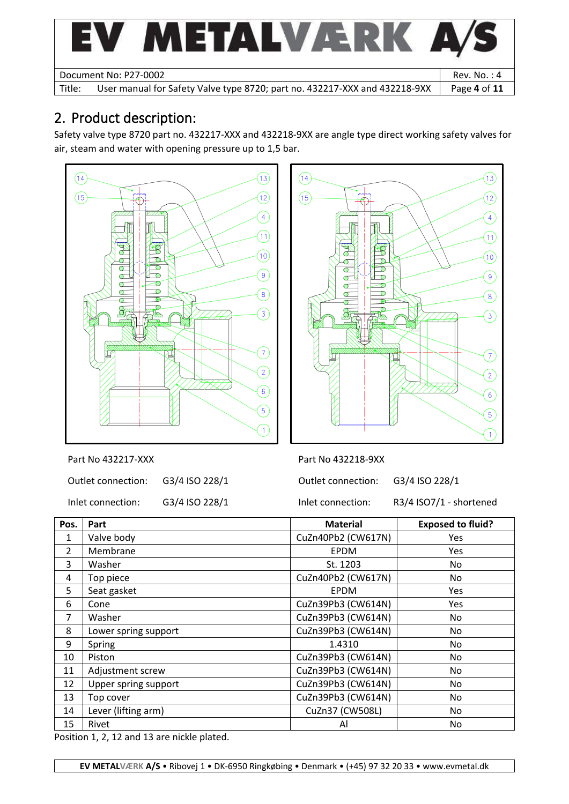

# <span id="page-3-0"></span>2. Product description:

Safety valve type 8720 part no. 432217-XXX and 432218-9XX are angle type direct working safety valves for air, steam and water with opening pressure up to 1,5 bar.





#### Part No 432217-XXX Part No 432218-9XX

Outlet connection: G3/4 ISO 228/1 Outlet connection: G3/4 ISO 228/1

Inlet connection: G3/4 ISO 228/1 Inlet connection: R3/4 ISO7/1 - shortened

| Pos.           | Part                 | <b>Material</b>    | <b>Exposed to fluid?</b> |
|----------------|----------------------|--------------------|--------------------------|
| $\mathbf{1}$   | Valve body           | CuZn40Pb2 (CW617N) | Yes.                     |
| $\overline{2}$ | Membrane             | <b>EPDM</b>        | <b>Yes</b>               |
| 3              | Washer               | St. 1203           | No.                      |
| 4              | Top piece            | CuZn40Pb2 (CW617N) | No                       |
| 5              | Seat gasket          | <b>EPDM</b>        | <b>Yes</b>               |
| 6              | Cone                 | CuZn39Pb3 (CW614N) | Yes                      |
| 7              | Washer               | CuZn39Pb3 (CW614N) | No.                      |
| 8              | Lower spring support | CuZn39Pb3 (CW614N) | No                       |
| 9              | Spring               | 1.4310             | No                       |
| 10             | Piston               | CuZn39Pb3 (CW614N) | No                       |
| 11             | Adjustment screw     | CuZn39Pb3 (CW614N) | No.                      |
| 12             | Upper spring support | CuZn39Pb3 (CW614N) | No.                      |
| 13             | Top cover            | CuZn39Pb3 (CW614N) | No                       |
| 14             | Lever (lifting arm)  | CuZn37 (CW508L)    | No                       |
| 15             | Rivet                | Al                 | No                       |

Position 1, 2, 12 and 13 are nickle plated.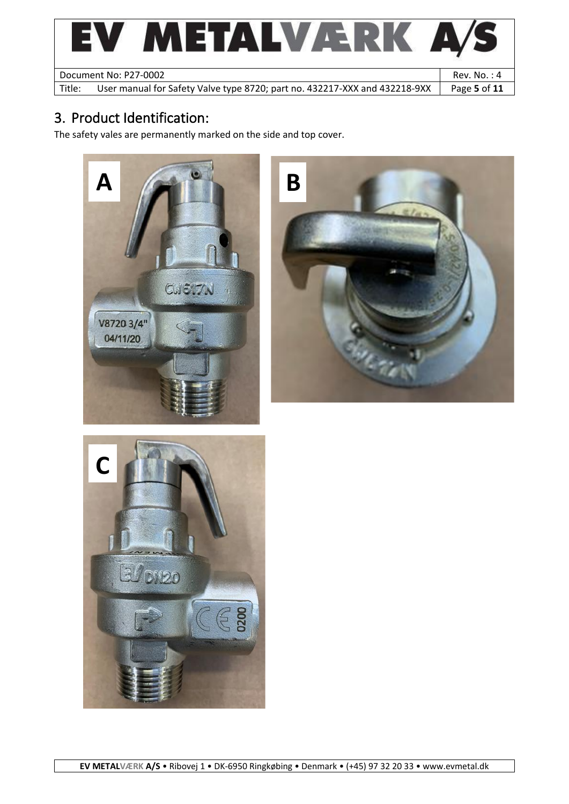

# <span id="page-4-0"></span>3. Product Identification:

The safety vales are permanently marked on the side and top cover.





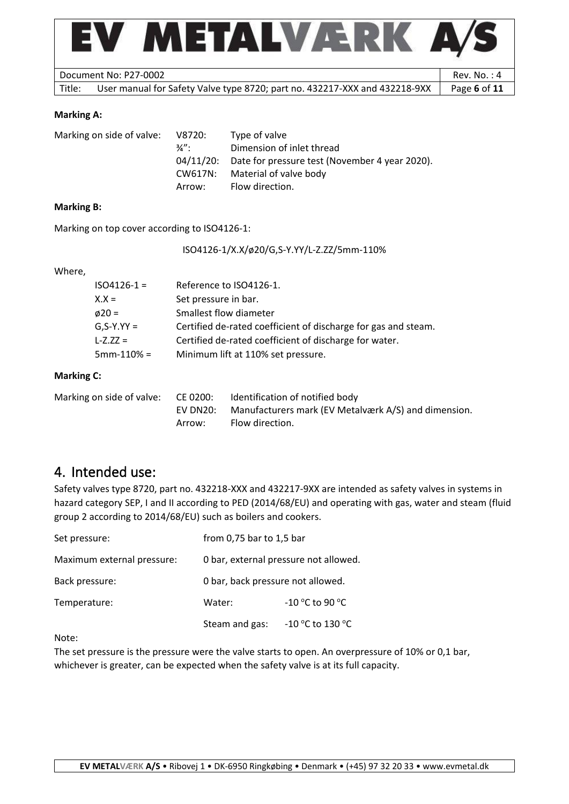

#### Document No: P27-0002 **Rev. No. : 4** Rev. No. : 4

Title: User manual for Safety Valve type 8720; part no. 432217-XXX and 432218-9XX Page **6** of **11**

**Marking A:**

 $\Rightarrow$ 

| Marking on side of valve: V8720: |                  | Type of valve                                            |
|----------------------------------|------------------|----------------------------------------------------------|
|                                  | $\frac{3}{4}$ ": | Dimension of inlet thread                                |
|                                  |                  | 04/11/20: Date for pressure test (November 4 year 2020). |
|                                  |                  | CW617N: Material of valve body                           |
|                                  | Arrow:           | Flow direction.                                          |

#### **Marking B:**

Marking on top cover according to ISO4126-1:

ISO4126-1/X.X/ø20/G,S-Y.YY/L-Z.ZZ/5mm-110%

#### Where,

| $ISO4126-1 =$ | Reference to ISO4126-1.                                        |
|---------------|----------------------------------------------------------------|
| $X.X =$       | Set pressure in bar.                                           |
| $\omega$ 20 = | Smallest flow diameter                                         |
| $G, S-Y.YY =$ | Certified de-rated coefficient of discharge for gas and steam. |
| $L-Z.ZZ =$    | Certified de-rated coefficient of discharge for water.         |
| $5mm-110% =$  | Minimum lift at 110% set pressure.                             |

### **Marking C:**

| Marking on side of valve: CE 0200: |          | Identification of notified body                      |
|------------------------------------|----------|------------------------------------------------------|
|                                    | EV DN20: | Manufacturers mark (EV Metalværk A/S) and dimension. |
|                                    | Arrow:   | Flow direction.                                      |

## <span id="page-5-0"></span>4. Intended use:

Safety valves type 8720, part no. 432218-XXX and 432217-9XX are intended as safety valves in systems in hazard category SEP, I and II according to PED (2014/68/EU) and operating with gas, water and steam (fluid group 2 according to 2014/68/EU) such as boilers and cookers.

| Set pressure:              | from 0,75 bar to 1,5 bar          |                                       |
|----------------------------|-----------------------------------|---------------------------------------|
| Maximum external pressure: |                                   | 0 bar, external pressure not allowed. |
| Back pressure:             | 0 bar, back pressure not allowed. |                                       |
| Temperature:               | Water:                            | $-10$ °C to 90 °C                     |
|                            | Steam and gas:                    | -10 °C to 130 °C                      |

Note:

The set pressure is the pressure were the valve starts to open. An overpressure of 10% or 0,1 bar, whichever is greater, can be expected when the safety valve is at its full capacity.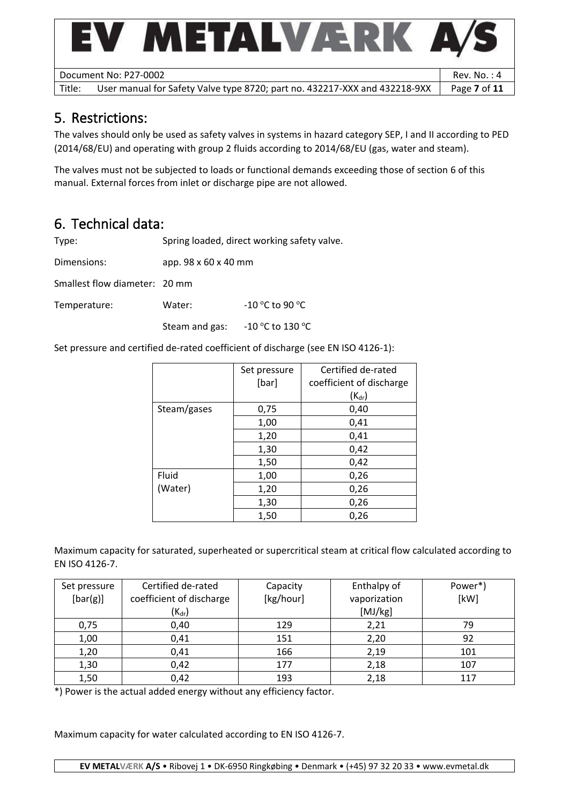

## <span id="page-6-0"></span>5. Restrictions:

The valves should only be used as safety valves in systems in hazard category SEP, I and II according to PED (2014/68/EU) and operating with group 2 fluids according to 2014/68/EU (gas, water and steam).

The valves must not be subjected to loads or functional demands exceeding those of section 6 of this manual. External forces from inlet or discharge pipe are not allowed.

# <span id="page-6-1"></span>6. Technical data:

Type: Spring loaded, direct working safety valve.

Dimensions: app. 98 x 60 x 40 mm

Smallest flow diameter: 20 mm

Temperature: Water:  $\frac{10^{\circ}C \times 90^{\circ}C}{10^{10}C}$ 

Steam and gas:  $-10\degree$ C to 130  $\degree$ C

Set pressure and certified de-rated coefficient of discharge (see EN ISO 4126-1):

|             | Set pressure<br>[bar] | Certified de-rated<br>coefficient of discharge |
|-------------|-----------------------|------------------------------------------------|
|             |                       | $(K_{dr})$                                     |
| Steam/gases | 0,75                  | 0,40                                           |
|             | 1,00                  | 0,41                                           |
|             | 1,20                  | 0,41                                           |
|             | 1,30                  | 0,42                                           |
|             | 1,50                  | 0,42                                           |
| Fluid       | 1,00                  | 0,26                                           |
| (Water)     | 1,20                  | 0,26                                           |
|             | 1,30                  | 0,26                                           |
|             | 1,50                  | 0,26                                           |

Maximum capacity for saturated, superheated or supercritical steam at critical flow calculated according to EN ISO 4126-7.

| Set pressure | Certified de-rated       | Capacity  | Enthalpy of  | Power*) |
|--------------|--------------------------|-----------|--------------|---------|
| [bar(g)]     | coefficient of discharge | [kg/hour] | vaporization | [kW]    |
|              | $(K_{dr})$               |           | [MJ/kg]      |         |
| 0,75         | 0,40                     | 129       | 2,21         | 79      |
| 1,00         | 0,41                     | 151       | 2,20         | 92      |
| 1,20         | 0,41                     | 166       | 2,19         | 101     |
| 1,30         | 0,42                     | 177       | 2,18         | 107     |
| 1,50         | 0,42                     | 193       | 2,18         | 117     |

\*) Power is the actual added energy without any efficiency factor.

Maximum capacity for water calculated according to EN ISO 4126-7.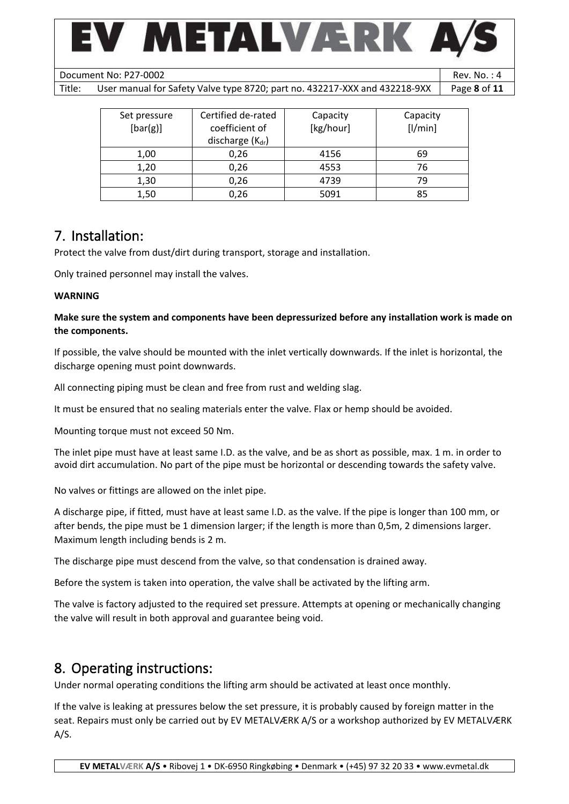V METALVÆRK A

#### Document No: P27-0002 **Rev. No. : 4** Rev. No. : 4

Title: User manual for Safety Valve type 8720; part no. 432217-XXX and 432218-9XX Page **8** of **11**

| Set pressure<br>[bar(g)] | Certified de-rated<br>coefficient of<br>discharge $(K_{dr})$ | Capacity<br>[kg/hour] | Capacity<br>[1/min] |
|--------------------------|--------------------------------------------------------------|-----------------------|---------------------|
| 1,00                     | 0,26                                                         | 4156                  | 69                  |
| 1,20                     | 0,26                                                         | 4553                  | 76                  |
| 1,30                     | 0,26                                                         | 4739                  | 79                  |
| 1,50                     | 0,26                                                         | 5091                  | 85                  |

## <span id="page-7-0"></span>7. Installation:

Protect the valve from dust/dirt during transport, storage and installation.

Only trained personnel may install the valves.

#### **WARNING**

**Make sure the system and components have been depressurized before any installation work is made on the components.**

If possible, the valve should be mounted with the inlet vertically downwards. If the inlet is horizontal, the discharge opening must point downwards.

All connecting piping must be clean and free from rust and welding slag.

It must be ensured that no sealing materials enter the valve. Flax or hemp should be avoided.

Mounting torque must not exceed 50 Nm.

The inlet pipe must have at least same I.D. as the valve, and be as short as possible, max. 1 m. in order to avoid dirt accumulation. No part of the pipe must be horizontal or descending towards the safety valve.

No valves or fittings are allowed on the inlet pipe.

A discharge pipe, if fitted, must have at least same I.D. as the valve. If the pipe is longer than 100 mm, or after bends, the pipe must be 1 dimension larger; if the length is more than 0,5m, 2 dimensions larger. Maximum length including bends is 2 m.

The discharge pipe must descend from the valve, so that condensation is drained away.

Before the system is taken into operation, the valve shall be activated by the lifting arm.

The valve is factory adjusted to the required set pressure. Attempts at opening or mechanically changing the valve will result in both approval and guarantee being void.

## <span id="page-7-1"></span>8. Operating instructions:

Under normal operating conditions the lifting arm should be activated at least once monthly.

If the valve is leaking at pressures below the set pressure, it is probably caused by foreign matter in the seat. Repairs must only be carried out by EV METALVÆRK A/S or a workshop authorized by EV METALVÆRK A/S.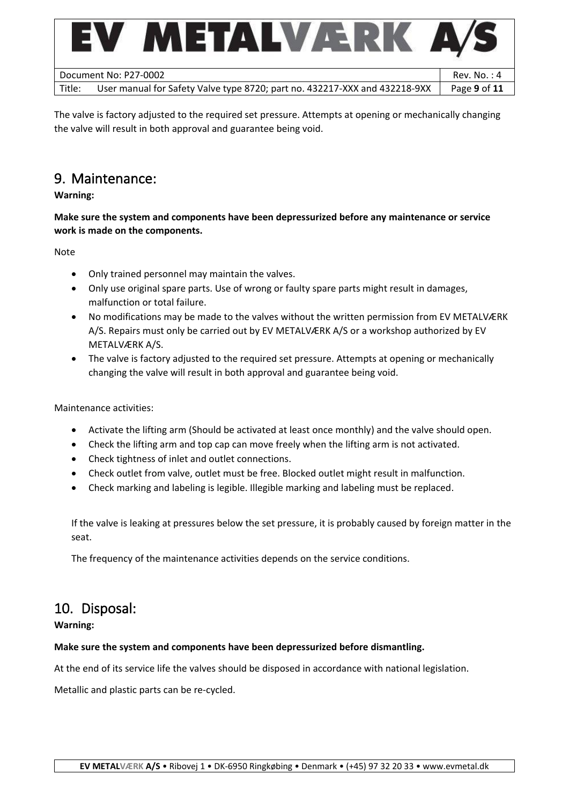

The valve is factory adjusted to the required set pressure. Attempts at opening or mechanically changing the valve will result in both approval and guarantee being void.

## <span id="page-8-0"></span>9. Maintenance:

**Warning:**

**Make sure the system and components have been depressurized before any maintenance or service work is made on the components.**

Note

- Only trained personnel may maintain the valves.
- Only use original spare parts. Use of wrong or faulty spare parts might result in damages, malfunction or total failure.
- No modifications may be made to the valves without the written permission from EV METALVÆRK A/S. Repairs must only be carried out by EV METALVÆRK A/S or a workshop authorized by EV METALVÆRK A/S.
- The valve is factory adjusted to the required set pressure. Attempts at opening or mechanically changing the valve will result in both approval and guarantee being void.

Maintenance activities:

- Activate the lifting arm (Should be activated at least once monthly) and the valve should open.
- Check the lifting arm and top cap can move freely when the lifting arm is not activated.
- Check tightness of inlet and outlet connections.
- Check outlet from valve, outlet must be free. Blocked outlet might result in malfunction.
- Check marking and labeling is legible. Illegible marking and labeling must be replaced.

If the valve is leaking at pressures below the set pressure, it is probably caused by foreign matter in the seat.

The frequency of the maintenance activities depends on the service conditions.

## <span id="page-8-1"></span>10. Disposal:

**Warning:**

#### **Make sure the system and components have been depressurized before dismantling.**

At the end of its service life the valves should be disposed in accordance with national legislation.

Metallic and plastic parts can be re-cycled.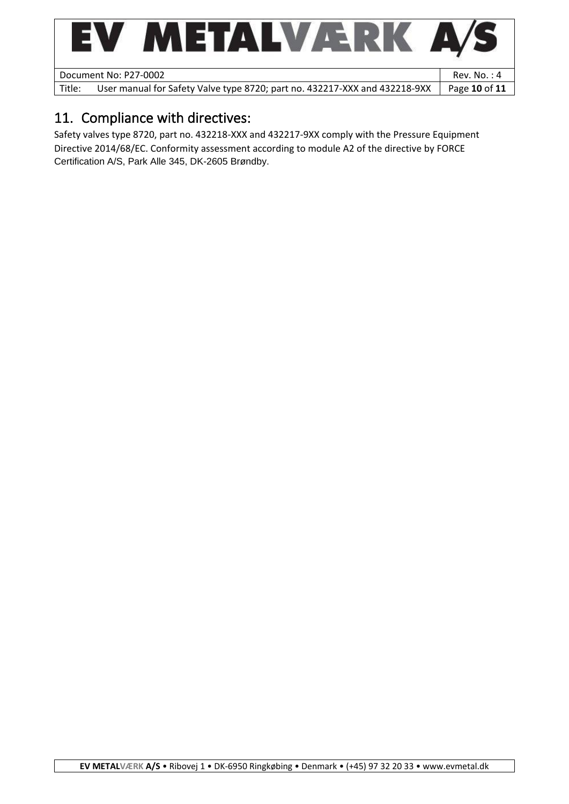

# <span id="page-9-0"></span>11. Compliance with directives:

Safety valves type 8720, part no. 432218-XXX and 432217-9XX comply with the Pressure Equipment Directive 2014/68/EC. Conformity assessment according to module A2 of the directive by FORCE Certification A/S, Park Alle 345, DK-2605 Brøndby.